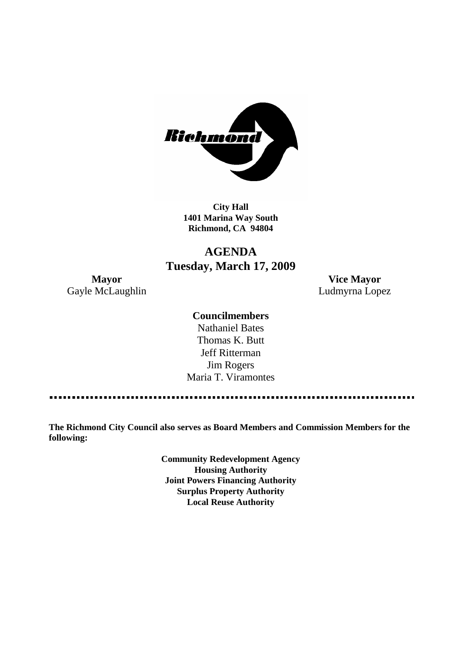

**City Hall 1401 Marina Way South Richmond, CA 94804**

# **AGENDA Tuesday, March 17, 2009**

**Mayor Vice Mayor** Gayle McLaughlin **Ludmyrna Lopez** 

### **Councilmembers**

Nathaniel Bates Thomas K. Butt Jeff Ritterman Jim Rogers Maria T. Viramontes

**The Richmond City Council also serves as Board Members and Commission Members for the following:**

> **Community Redevelopment Agency Housing Authority Joint Powers Financing Authority Surplus Property Authority Local Reuse Authority**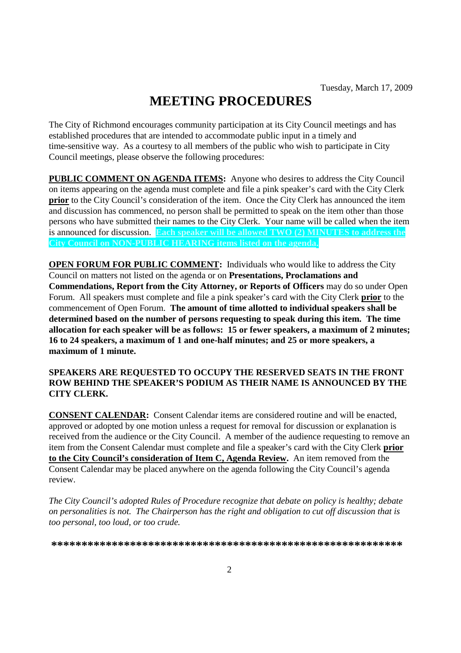# **MEETING PROCEDURES**

The City of Richmond encourages community participation at its City Council meetings and has established procedures that are intended to accommodate public input in a timely and time-sensitive way. As a courtesy to all members of the public who wish to participate in City Council meetings, please observe the following procedures:

**PUBLIC COMMENT ON AGENDA ITEMS:** Anyone who desires to address the City Council on items appearing on the agenda must complete and file a pink speaker's card with the City Clerk **prior** to the City Council's consideration of the item. Once the City Clerk has announced the item and discussion has commenced, no person shall be permitted to speak on the item other than those persons who have submitted their names to the City Clerk. Your name will be called when the item is announced for discussion. **Each speaker will be allowed TWO (2) MINUTES to address the City Council on NON-PUBLIC HEARING items listed on the agenda.**

**OPEN FORUM FOR PUBLIC COMMENT:** Individuals who would like to address the City Council on matters not listed on the agenda or on **Presentations, Proclamations and Commendations, Report from the City Attorney, or Reports of Officers** may do so under Open Forum. All speakers must complete and file a pink speaker's card with the City Clerk **prior** to the commencement of Open Forum. **The amount of time allotted to individual speakers shall be determined based on the number of persons requesting to speak during this item. The time allocation for each speaker will be as follows: 15 or fewer speakers, a maximum of 2 minutes; 16 to 24 speakers, a maximum of 1 and one-half minutes; and 25 or more speakers, a maximum of 1 minute.**

### **SPEAKERS ARE REQUESTED TO OCCUPY THE RESERVED SEATS IN THE FRONT ROW BEHIND THE SPEAKER'S PODIUM AS THEIR NAME IS ANNOUNCED BY THE CITY CLERK.**

**CONSENT CALENDAR:** Consent Calendar items are considered routine and will be enacted, approved or adopted by one motion unless a request for removal for discussion or explanation is received from the audience or the City Council. A member of the audience requesting to remove an item from the Consent Calendar must complete and file a speaker's card with the City Clerk **prior to the City Council's consideration of Item C, Agenda Review.** An item removed from the Consent Calendar may be placed anywhere on the agenda following the City Council's agenda review.

*The City Council's adopted Rules of Procedure recognize that debate on policy is healthy; debate on personalities is not. The Chairperson has the right and obligation to cut off discussion that is too personal, too loud, or too crude.*

**\*\*\*\*\*\*\*\*\*\*\*\*\*\*\*\*\*\*\*\*\*\*\*\*\*\*\*\*\*\*\*\*\*\*\*\*\*\*\*\*\*\*\*\*\*\*\*\*\*\*\*\*\*\*\*\*\*\***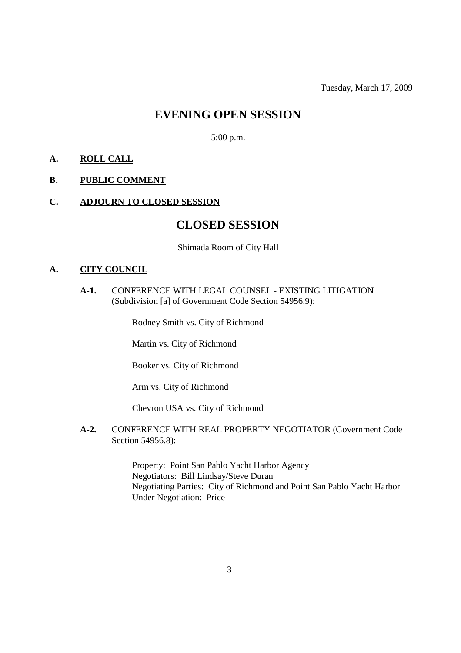Tuesday, March 17, 2009

# **EVENING OPEN SESSION**

5:00 p.m.

### **A. ROLL CALL**

### **B. PUBLIC COMMENT**

### **C. ADJOURN TO CLOSED SESSION**

# **CLOSED SESSION**

#### Shimada Room of City Hall

### **A. CITY COUNCIL**

**A-1.** CONFERENCE WITH LEGAL COUNSEL - EXISTING LITIGATION (Subdivision [a] of Government Code Section 54956.9):

Rodney Smith vs. City of Richmond

Martin vs. City of Richmond

Booker vs. City of Richmond

Arm vs. City of Richmond

Chevron USA vs. City of Richmond

**A-2.** CONFERENCE WITH REAL PROPERTY NEGOTIATOR (Government Code Section 54956.8):

> Property: Point San Pablo Yacht Harbor Agency Negotiators: Bill Lindsay/Steve Duran Negotiating Parties: City of Richmond and Point San Pablo Yacht Harbor Under Negotiation: Price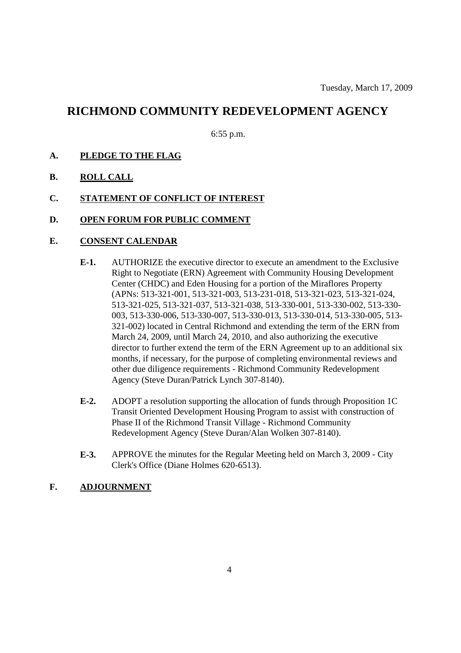# **RICHMOND COMMUNITY REDEVELOPMENT AGENCY**

6:55 p.m.

- **A. PLEDGE TO THE FLAG**
- **B. ROLL CALL**
- **C. STATEMENT OF CONFLICT OF INTEREST**
- **D. OPEN FORUM FOR PUBLIC COMMENT**

### **E. CONSENT CALENDAR**

- **E-1.** AUTHORIZE the executive director to execute an amendment to the Exclusive Right to Negotiate (ERN) Agreement with Community Housing Development Center (CHDC) and Eden Housing for a portion of the Miraflores Property (APNs: 513-321-001, 513-321-003, 513-231-018, 513-321-023, 513-321-024, 513-321-025, 513-321-037, 513-321-038, 513-330-001, 513-330-002, 513-330- 003, 513-330-006, 513-330-007, 513-330-013, 513-330-014, 513-330-005, 513- 321-002) located in Central Richmond and extending the term of the ERN from March 24, 2009, until March 24, 2010, and also authorizing the executive director to further extend the term of the ERN Agreement up to an additional six months, if necessary, for the purpose of completing environmental reviews and other due diligence requirements - Richmond Community Redevelopment Agency (Steve Duran/Patrick Lynch 307-8140).
- **E-2.** ADOPT a resolution supporting the allocation of funds through Proposition 1C Transit Oriented Development Housing Program to assist with construction of Phase II of the Richmond Transit Village - Richmond Community Redevelopment Agency (Steve Duran/Alan Wolken 307-8140).
- **E-3.** APPROVE the minutes for the Regular Meeting held on March 3, 2009 City Clerk's Office (Diane Holmes 620-6513).

### **F. ADJOURNMENT**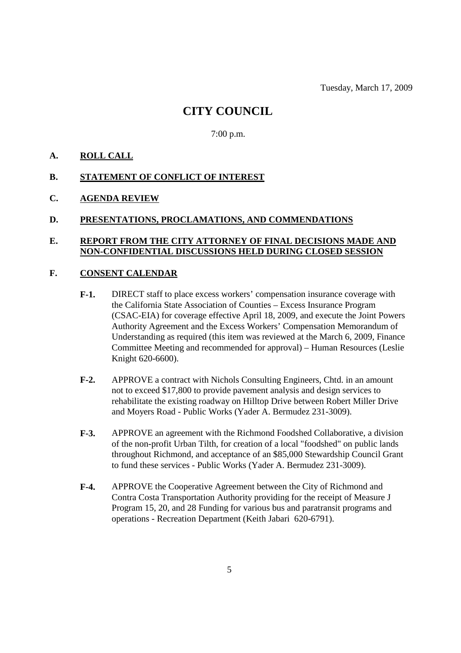# **CITY COUNCIL**

7:00 p.m.

### **A. ROLL CALL**

### **B. STATEMENT OF CONFLICT OF INTEREST**

**C. AGENDA REVIEW**

### **D. PRESENTATIONS, PROCLAMATIONS, AND COMMENDATIONS**

### **E. REPORT FROM THE CITY ATTORNEY OF FINAL DECISIONS MADE AND NON-CONFIDENTIAL DISCUSSIONS HELD DURING CLOSED SESSION**

### **F. CONSENT CALENDAR**

- **F-1.** DIRECT staff to place excess workers' compensation insurance coverage with the California State Association of Counties – Excess Insurance Program (CSAC-EIA) for coverage effective April 18, 2009, and execute the Joint Powers Authority Agreement and the Excess Workers' Compensation Memorandum of Understanding as required (this item was reviewed at the March 6, 2009, Finance Committee Meeting and recommended for approval) – Human Resources (Leslie Knight 620-6600).
- **F-2.** APPROVE a contract with Nichols Consulting Engineers, Chtd. in an amount not to exceed \$17,800 to provide pavement analysis and design services to rehabilitate the existing roadway on Hilltop Drive between Robert Miller Drive and Moyers Road - Public Works (Yader A. Bermudez 231-3009).
- **F-3.** APPROVE an agreement with the Richmond Foodshed Collaborative, a division of the non-profit Urban Tilth, for creation of a local "foodshed" on public lands throughout Richmond, and acceptance of an \$85,000 Stewardship Council Grant to fund these services - Public Works (Yader A. Bermudez 231-3009).
- **F-4.** APPROVE the Cooperative Agreement between the City of Richmond and Contra Costa Transportation Authority providing for the receipt of Measure J Program 15, 20, and 28 Funding for various bus and paratransit programs and operations - Recreation Department (Keith Jabari 620-6791).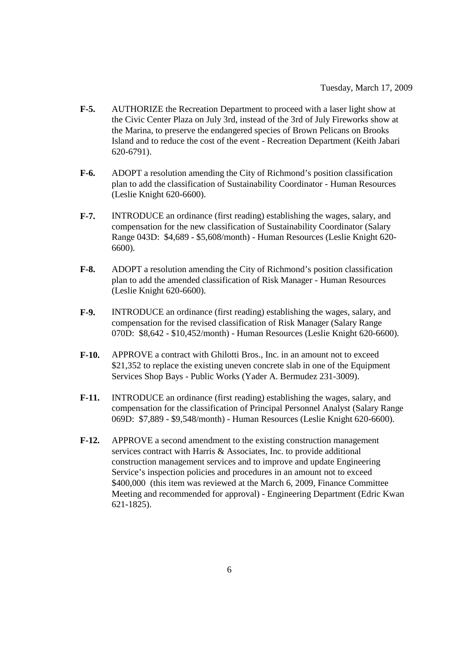- **F-5.** AUTHORIZE the Recreation Department to proceed with a laser light show at the Civic Center Plaza on July 3rd, instead of the 3rd of July Fireworks show at the Marina, to preserve the endangered species of Brown Pelicans on Brooks Island and to reduce the cost of the event - Recreation Department (Keith Jabari 620-6791).
- **F-6.** ADOPT a resolution amending the City of Richmond's position classification plan to add the classification of Sustainability Coordinator - Human Resources (Leslie Knight 620-6600).
- **F-7.** INTRODUCE an ordinance (first reading) establishing the wages, salary, and compensation for the new classification of Sustainability Coordinator (Salary Range 043D: \$4,689 - \$5,608/month) - Human Resources (Leslie Knight 620- 6600).
- **F-8.** ADOPT a resolution amending the City of Richmond's position classification plan to add the amended classification of Risk Manager - Human Resources (Leslie Knight 620-6600).
- **F-9.** INTRODUCE an ordinance (first reading) establishing the wages, salary, and compensation for the revised classification of Risk Manager (Salary Range 070D: \$8,642 - \$10,452/month) - Human Resources (Leslie Knight 620-6600).
- **F-10.** APPROVE a contract with Ghilotti Bros., Inc. in an amount not to exceed \$21,352 to replace the existing uneven concrete slab in one of the Equipment Services Shop Bays - Public Works (Yader A. Bermudez 231-3009).
- **F-11.** INTRODUCE an ordinance (first reading) establishing the wages, salary, and compensation for the classification of Principal Personnel Analyst (Salary Range 069D: \$7,889 - \$9,548/month) - Human Resources (Leslie Knight 620-6600).
- **F-12.** APPROVE a second amendment to the existing construction management services contract with Harris & Associates, Inc. to provide additional construction management services and to improve and update Engineering Service's inspection policies and procedures in an amount not to exceed \$400,000 (this item was reviewed at the March 6, 2009, Finance Committee Meeting and recommended for approval) - Engineering Department (Edric Kwan 621-1825).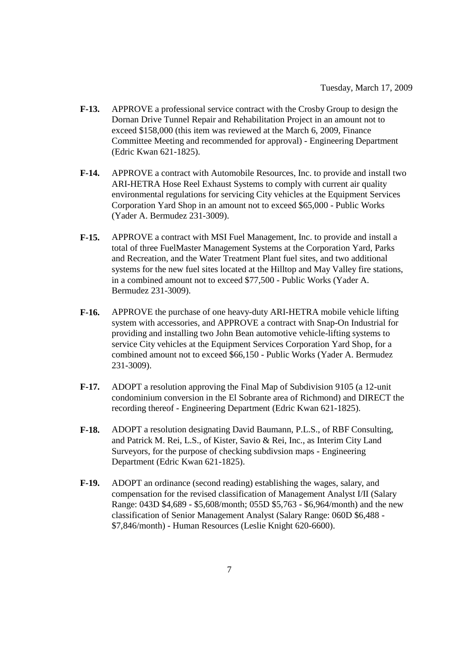- **F-13.** APPROVE a professional service contract with the Crosby Group to design the Dornan Drive Tunnel Repair and Rehabilitation Project in an amount not to exceed \$158,000 (this item was reviewed at the March 6, 2009, Finance Committee Meeting and recommended for approval) - Engineering Department (Edric Kwan 621-1825).
- **F-14.** APPROVE a contract with Automobile Resources, Inc. to provide and install two ARI-HETRA Hose Reel Exhaust Systems to comply with current air quality environmental regulations for servicing City vehicles at the Equipment Services Corporation Yard Shop in an amount not to exceed \$65,000 - Public Works (Yader A. Bermudez 231-3009).
- **F-15.** APPROVE a contract with MSI Fuel Management, Inc. to provide and install a total of three FuelMaster Management Systems at the Corporation Yard, Parks and Recreation, and the Water Treatment Plant fuel sites, and two additional systems for the new fuel sites located at the Hilltop and May Valley fire stations, in a combined amount not to exceed \$77,500 - Public Works (Yader A. Bermudez 231-3009).
- **F-16.** APPROVE the purchase of one heavy-duty ARI-HETRA mobile vehicle lifting system with accessories, and APPROVE a contract with Snap-On Industrial for providing and installing two John Bean automotive vehicle-lifting systems to service City vehicles at the Equipment Services Corporation Yard Shop, for a combined amount not to exceed \$66,150 - Public Works (Yader A. Bermudez 231-3009).
- **F-17.** ADOPT a resolution approving the Final Map of Subdivision 9105 (a 12-unit condominium conversion in the El Sobrante area of Richmond) and DIRECT the recording thereof - Engineering Department (Edric Kwan 621-1825).
- **F-18.** ADOPT a resolution designating David Baumann, P.L.S., of RBF Consulting, and Patrick M. Rei, L.S., of Kister, Savio & Rei, Inc., as Interim City Land Surveyors, for the purpose of checking subdivsion maps - Engineering Department (Edric Kwan 621-1825).
- **F-19.** ADOPT an ordinance (second reading) establishing the wages, salary, and compensation for the revised classification of Management Analyst I/II (Salary Range: 043D \$4,689 - \$5,608/month; 055D \$5,763 - \$6,964/month) and the new classification of Senior Management Analyst (Salary Range: 060D \$6,488 - \$7,846/month) - Human Resources (Leslie Knight 620-6600).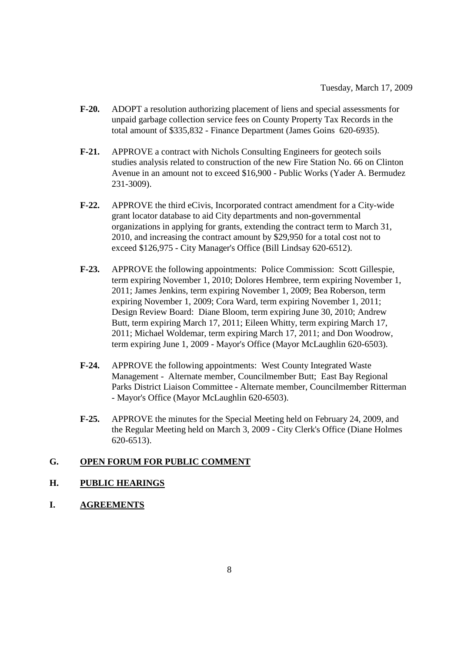- **F-20.** ADOPT a resolution authorizing placement of liens and special assessments for unpaid garbage collection service fees on County Property Tax Records in the total amount of \$335,832 - Finance Department (James Goins 620-6935).
- **F-21.** APPROVE a contract with Nichols Consulting Engineers for geotech soils studies analysis related to construction of the new Fire Station No. 66 on Clinton Avenue in an amount not to exceed \$16,900 - Public Works (Yader A. Bermudez 231-3009).
- **F-22.** APPROVE the third eCivis, Incorporated contract amendment for a City-wide grant locator database to aid City departments and non-governmental organizations in applying for grants, extending the contract term to March 31, 2010, and increasing the contract amount by \$29,950 for a total cost not to exceed \$126,975 - City Manager's Office (Bill Lindsay 620-6512).
- **F-23.** APPROVE the following appointments: Police Commission: Scott Gillespie, term expiring November 1, 2010; Dolores Hembree, term expiring November 1, 2011; James Jenkins, term expiring November 1, 2009; Bea Roberson, term expiring November 1, 2009; Cora Ward, term expiring November 1, 2011; Design Review Board: Diane Bloom, term expiring June 30, 2010; Andrew Butt, term expiring March 17, 2011; Eileen Whitty, term expiring March 17, 2011; Michael Woldemar, term expiring March 17, 2011; and Don Woodrow, term expiring June 1, 2009 - Mayor's Office (Mayor McLaughlin 620-6503).
- **F-24.** APPROVE the following appointments: West County Integrated Waste Management - Alternate member, Councilmember Butt; East Bay Regional Parks District Liaison Committee - Alternate member, Councilmember Ritterman - Mayor's Office (Mayor McLaughlin 620-6503).
- **F-25.** APPROVE the minutes for the Special Meeting held on February 24, 2009, and the Regular Meeting held on March 3, 2009 - City Clerk's Office (Diane Holmes 620-6513).

### **G. OPEN FORUM FOR PUBLIC COMMENT**

### **H. PUBLIC HEARINGS**

**I. AGREEMENTS**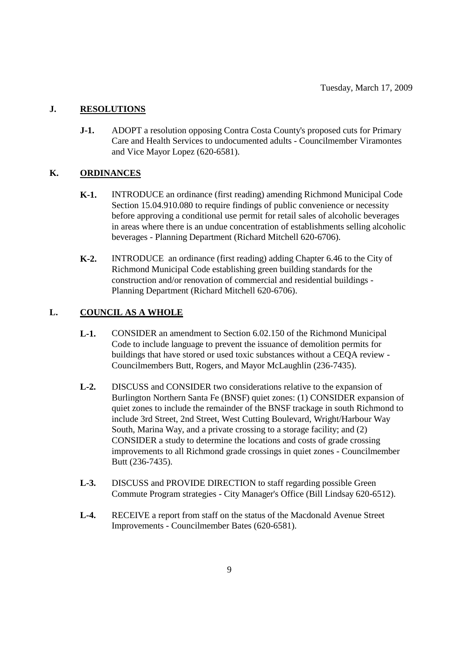### **J. RESOLUTIONS**

**J-1.** ADOPT a resolution opposing Contra Costa County's proposed cuts for Primary Care and Health Services to undocumented adults - Councilmember Viramontes and Vice Mayor Lopez (620-6581).

### **K. ORDINANCES**

- **K-1.** INTRODUCE an ordinance (first reading) amending Richmond Municipal Code Section 15.04.910.080 to require findings of public convenience or necessity before approving a conditional use permit for retail sales of alcoholic beverages in areas where there is an undue concentration of establishments selling alcoholic beverages - Planning Department (Richard Mitchell 620-6706).
- **K-2.** INTRODUCE an ordinance (first reading) adding Chapter 6.46 to the City of Richmond Municipal Code establishing green building standards for the construction and/or renovation of commercial and residential buildings - Planning Department (Richard Mitchell 620-6706).

# **L. COUNCIL AS A WHOLE**

- **L-1.** CONSIDER an amendment to Section 6.02.150 of the Richmond Municipal Code to include language to prevent the issuance of demolition permits for buildings that have stored or used toxic substances without a CEQA review - Councilmembers Butt, Rogers, and Mayor McLaughlin (236-7435).
- **L-2.** DISCUSS and CONSIDER two considerations relative to the expansion of Burlington Northern Santa Fe (BNSF) quiet zones: (1) CONSIDER expansion of quiet zones to include the remainder of the BNSF trackage in south Richmond to include 3rd Street, 2nd Street, West Cutting Boulevard, Wright/Harbour Way South, Marina Way, and a private crossing to a storage facility; and (2) CONSIDER a study to determine the locations and costs of grade crossing improvements to all Richmond grade crossings in quiet zones - Councilmember Butt (236-7435).
- **L-3.** DISCUSS and PROVIDE DIRECTION to staff regarding possible Green Commute Program strategies - City Manager's Office (Bill Lindsay 620-6512).
- **L-4.** RECEIVE a report from staff on the status of the Macdonald Avenue Street Improvements - Councilmember Bates (620-6581).